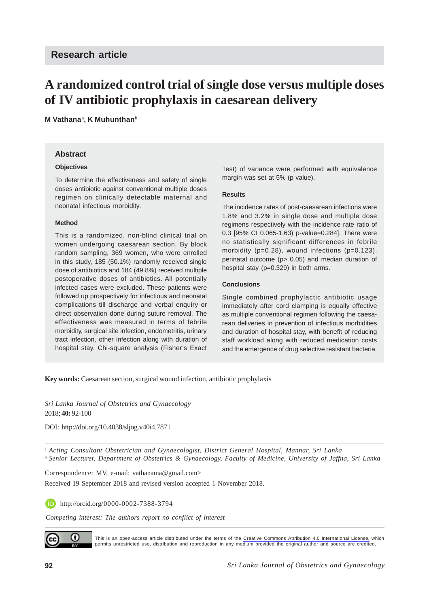# **A randomized control trial of single dose versus multiple doses of IV antibiotic prophylaxis in caesarean delivery**

**M Vathana**<sup>a</sup> **, K Muhunthan**<sup>b</sup>

#### **Abstract**

#### **Objectives**

To determine the effectiveness and safety of single doses antibiotic against conventional multiple doses regimen on clinically detectable maternal and neonatal infectious morbidity.

#### **Method**

This is a randomized, non-blind clinical trial on women undergoing caesarean section. By block random sampling, 369 women, who were enrolled in this study, 185 (50.1%) randomly received single dose of antibiotics and 184 (49.8%) received multiple postoperative doses of antibiotics. All potentially infected cases were excluded. These patients were followed up prospectively for infectious and neonatal complications till discharge and verbal enquiry or direct observation done during suture removal. The effectiveness was measured in terms of febrile morbidity, surgical site infection, endometritis, urinary tract infection, other infection along with duration of hospital stay. Chi-square analysis (Fisher's Exact Test) of variance were performed with equivalence margin was set at 5% (p value).

#### **Results**

The incidence rates of post-caesarean infections were 1.8% and 3.2% in single dose and multiple dose regimens respectively with the incidence rate ratio of 0.3 [95% CI 0.065-1.63) p-value=0.284]. There were no statistically significant differences in febrile morbidity (p=0.28), wound infections (p=0.123), perinatal outcome (p> 0.05) and median duration of hospital stay (p=0.329) in both arms.

#### **Conclusions**

Single combined prophylactic antibiotic usage immediately after cord clamping is equally effective as multiple conventional regimen following the caesarean deliveries in prevention of infectious morbidities and duration of hospital stay, with benefit of reducing staff workload along with reduced medication costs and the emergence of drug selective resistant bacteria.

**Key words:** Caesarean section, surgical wound infection, antibiotic prophylaxis

*Sri Lanka Journal of Obstetrics and Gynaecology* 2018; **40:** 92-100

DOI: http://doi.org/10.4038/sljog.v40i4.7871

<sup>a</sup> *Acting Consultant Obstetrician and Gynaecologist, District General Hospital, Mannar, Sri Lanka* <sup>b</sup> *Senior Lecturer, Department of Obstetrics & Gynaecology, Faculty of Medicine, University of Jaffna, Sri Lanka*

Correspondence: MV, e-mail: vathanama@gmail.com>

Received 19 September 2018 and revised version accepted 1 November 2018.

**iD** http://orcid.org/0000-0002-7388-3794

*Competing interest: The authors report no conflict of interest*



This is an open-access article distributed under the terms of the [Creative Commons Attribution 4.0 International License,](https://creativecommons.org/licenses/by/4.0/) which permits unrestricted use, distribution and reproduction in any medium provided the original author and source are credited.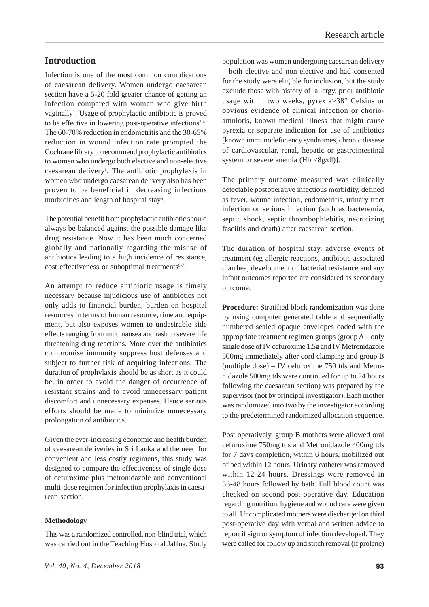# **Introduction**

Infection is one of the most common complications of caesarean delivery. Women undergo caesarean section have a 5-20 fold greater chance of getting an infection compared with women who give birth vaginally<sup>1</sup>. Usage of prophylactic antibiotic is proved to be effective in lowering post-operative infections<sup> $2-4$ </sup>. The 60-70% reduction in endometritis and the 30-65% reduction in wound infection rate prompted the Cochrane library to recommend prophylactic antibiotics to women who undergo both elective and non-elective caesarean delivery<sup>1</sup>. The antibiotic prophylaxis in women who undergo caesarean delivery also has been proven to be beneficial in decreasing infectious morbidities and length of hospital stay<sup>5</sup>.

The potential benefit from prophylactic antibiotic should always be balanced against the possible damage like drug resistance. Now it has been much concerned globally and nationally regarding the misuse of antibiotics leading to a high incidence of resistance, cost effectiveness or suboptimal treatments $6-7$ .

An attempt to reduce antibiotic usage is timely necessary because injudicious use of antibiotics not only adds to financial burden, burden on hospital resources in terms of human resource, time and equipment, but also exposes women to undesirable side effects ranging from mild nausea and rash to severe life threatening drug reactions. More over the antibiotics compromise immunity suppress host defenses and subject to further risk of acquiring infections. The duration of prophylaxis should be as short as it could be, in order to avoid the danger of occurrence of resistant strains and to avoid unnecessary patient discomfort and unnecessary expenses. Hence serious efforts should be made to minimize unnecessary prolongation of antibiotics.

Given the ever-increasing economic and health burden of caesarean deliveries in Sri Lanka and the need for convenient and less costly regimens, this study was designed to compare the effectiveness of single dose of cefuroxime plus metronidazole and conventional multi-dose regimen for infection prophylaxis in caesarean section.

#### **Methodology**

This was a randomized controlled, non-blind trial, which was carried out in the Teaching Hospital Jaffna. Study

population was women undergoing caesarean delivery – both elective and non-elective and had consented for the study were eligible for inclusion, but the study exclude those with history of allergy, prior antibiotic usage within two weeks, pyrexia>38° Celsius or obvious evidence of clinical infection or chorioamniotis, known medical illness that might cause pyrexia or separate indication for use of antibiotics [known immunodeficiency syndromes, chronic disease of cardiovascular, renal, hepatic or gastrointestinal system or severe anemia (Hb  $\langle 8g/dl \rangle$ ].

The primary outcome measured was clinically detectable postoperative infectious morbidity, defined as fever, wound infection, endometritis, urinary tract infection or serious infection (such as bacteremia, septic shock, septic thrombophlebitis, necrotizing fasciitis and death) after caesarean section.

The duration of hospital stay, adverse events of treatment (eg allergic reactions, antibiotic-associated diarrhea, development of bacterial resistance and any infant outcomes reported are considered as secondary outcome.

**Procedure:** Stratified block randomization was done by using computer generated table and sequentially numbered sealed opaque envelopes coded with the appropriate treatment regimen groups (group A – only single dose of IV cefuroxime 1.5g and IV Metronidazole 500mg immediately after cord clamping and group B (multiple dose) – IV cefuroxime 750 tds and Metronidazole 500mg tds were continued for up to 24 hours following the caesarean section) was prepared by the supervisor (not by principal investigator). Each mother was randomized into two by the investigator according to the predetermined randomized allocation sequence.

Post operatively, group B mothers were allowed oral cefuroxime 750mg tds and Metronidazole 400mg tds for 7 days completion, within 6 hours, mobilized out of bed within 12 hours. Urinary catheter was removed within 12-24 hours. Dressings were removed in 36-48 hours followed by bath. Full blood count was checked on second post-operative day. Education regarding nutrition, hygiene and wound care were given to all. Uncomplicated mothers were discharged on third post-operative day with verbal and written advice to report if sign or symptom of infection developed. They were called for follow up and stitch removal (if prolene)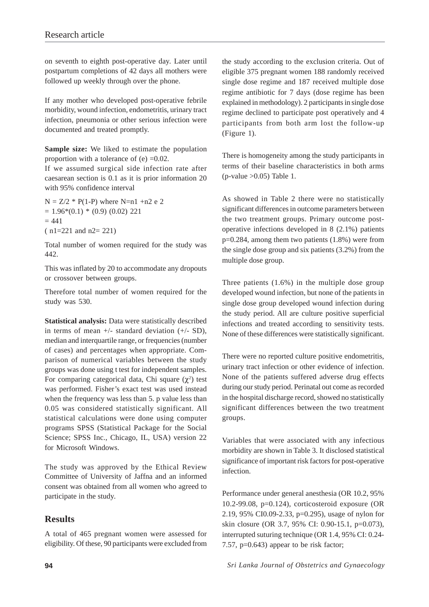on seventh to eighth post-operative day. Later until postpartum completions of 42 days all mothers were followed up weekly through over the phone.

If any mother who developed post-operative febrile morbidity, wound infection, endometritis, urinary tract infection, pneumonia or other serious infection were documented and treated promptly.

**Sample size:** We liked to estimate the population proportion with a tolerance of  $(e) = 0.02$ .

If we assumed surgical side infection rate after caesarean section is 0.1 as it is prior information 20 with 95% confidence interval

 $N = Z/2$  \* P(1-P) where N=n1 +n2 e 2  $= 1.96*(0.1) * (0.9) (0.02) 221$  $= 441$ ( n1=221 and n2= 221)

Total number of women required for the study was 442.

This was inflated by 20 to accommodate any dropouts or crossover between groups.

Therefore total number of women required for the study was 530.

**Statistical analysis:** Data were statistically described in terms of mean  $+/-$  standard deviation  $(+/- SD)$ , median and interquartile range, or frequencies (number of cases) and percentages when appropriate. Comparison of numerical variables between the study groups was done using t test for independent samples. For comparing categorical data, Chi square  $(\chi^2)$  test was performed. Fisher's exact test was used instead when the frequency was less than 5, p value less than 0.05 was considered statistically significant. All statistical calculations were done using computer programs SPSS (Statistical Package for the Social Science; SPSS Inc., Chicago, IL, USA) version 22 for Microsoft Windows.

The study was approved by the Ethical Review Committee of University of Jaffna and an informed consent was obtained from all women who agreed to participate in the study.

# **Results**

A total of 465 pregnant women were assessed for eligibility. Of these, 90 participants were excluded from the study according to the exclusion criteria. Out of eligible 375 pregnant women 188 randomly received single dose regime and 187 received multiple dose regime antibiotic for 7 days (dose regime has been explained in methodology). 2 participants in single dose regime declined to participate post operatively and 4 participants from both arm lost the follow-up (Figure 1).

There is homogeneity among the study participants in terms of their baseline characteristics in both arms (p-value  $>0.05$ ) Table 1.

As showed in Table 2 there were no statistically significant differences in outcome parameters between the two treatment groups. Primary outcome postoperative infections developed in 8 (2.1%) patients p=0.284, among them two patients (1.8%) were from the single dose group and six patients (3.2%) from the multiple dose group.

Three patients (1.6%) in the multiple dose group developed wound infection, but none of the patients in single dose group developed wound infection during the study period. All are culture positive superficial infections and treated according to sensitivity tests. None of these differences were statistically significant.

There were no reported culture positive endometritis, urinary tract infection or other evidence of infection. None of the patients suffered adverse drug effects during our study period. Perinatal out come as recorded in the hospital discharge record, showed no statistically significant differences between the two treatment groups.

Variables that were associated with any infectious morbidity are shown in Table 3. It disclosed statistical significance of important risk factors for post-operative infection.

Performance under general anesthesia (OR 10.2, 95% 10.2-99.08, p=0.124), corticosteroid exposure (OR 2.19, 95% CI0.09-2.33, p=0.295), usage of nylon for skin closure (OR 3.7, 95% CI: 0.90-15.1, p=0.073), interrupted suturing technique (OR 1.4, 95% CI: 0.24- 7.57, p=0.643) appear to be risk factor;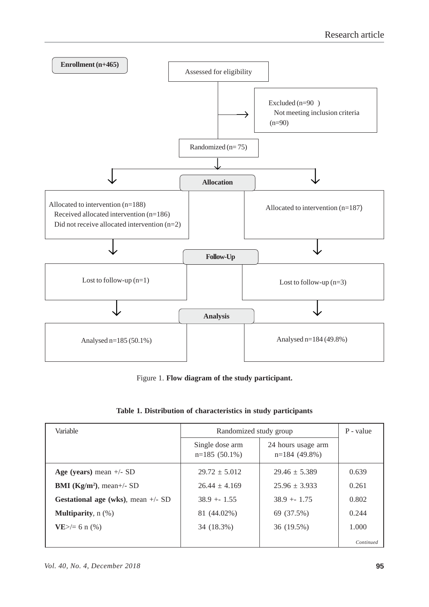

Figure 1. **Flow diagram of the study participant.**

| Variable                                   | Randomized study group             | P - value                             |           |
|--------------------------------------------|------------------------------------|---------------------------------------|-----------|
|                                            | Single dose arm<br>$n=185(50.1\%)$ | 24 hours usage arm<br>$n=184(49.8\%)$ |           |
| Age (years) mean $+/-$ SD                  | $29.72 \pm 5.012$                  | $29.46 \pm 5.389$                     | 0.639     |
| <b>BMI</b> ( $\text{Kg/m}^2$ ), mean+/- SD | $26.44 + 4.169$                    | $25.96 + 3.933$                       | 0.261     |
| Gestational age (wks), mean $+/-$ SD       | $38.9 + 1.55$                      | $38.9 + 1.75$                         | 0.802     |
| <b>Multiparity</b> , $n$ (%)               | 81 (44.02%)                        | 69 (37.5%)                            | 0.244     |
| $VE$ >/= 6 n (%)                           | 34 (18.3%)                         | 36 (19.5%)                            | 1.000     |
|                                            |                                    |                                       | Continued |

|  |  | Table 1. Distribution of characteristics in study participants |  |  |
|--|--|----------------------------------------------------------------|--|--|
|  |  |                                                                |  |  |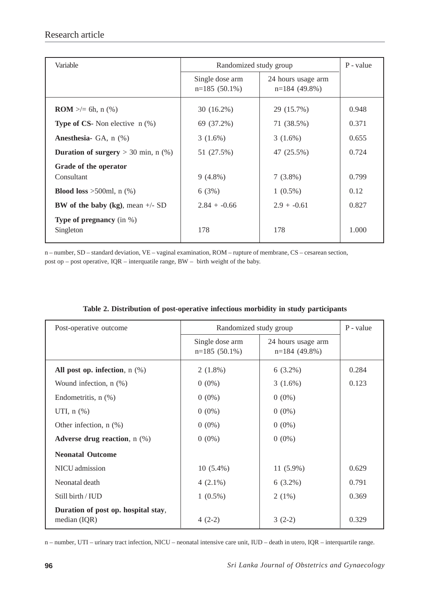| Variable                                         | Randomized study group             | P - value                             |       |
|--------------------------------------------------|------------------------------------|---------------------------------------|-------|
|                                                  | Single dose arm<br>$n=185(50.1\%)$ | 24 hours usage arm<br>$n=184(49.8\%)$ |       |
| <b>ROM</b> $\geq$ = 6h, n (%)                    | $30(16.2\%)$                       | 29 (15.7%)                            | 0.948 |
| <b>Type of CS-</b> Non elective $n$ (%)          | 69 (37.2%)                         | 71 (38.5%)                            | 0.371 |
| <b>Anesthesia-</b> GA, $n$ $%$ )                 | $3(1.6\%)$                         | $3(1.6\%)$                            | 0.655 |
| <b>Duration of surgery</b> $>$ 30 min, n (%)     | 51 (27.5%)                         | 47 (25.5%)                            | 0.724 |
| Grade of the operator<br>Consultant              | $9(4.8\%)$                         | $7(3.8\%)$                            | 0.799 |
| <b>Blood loss</b> >500ml, $n$ (%)                | 6(3%)                              | $1(0.5\%)$                            | 0.12  |
| <b>BW</b> of the baby (kg), mean $+/-$ SD        | $2.84 + -0.66$                     | $2.9 + -0.61$                         | 0.827 |
| <b>Type of pregnancy</b> (in $\%$ )<br>Singleton | 178                                | 178                                   | 1.000 |

n – number, SD – standard deviation, VE – vaginal examination, ROM – rupture of membrane, CS – cesarean section, post op – post operative, IQR – interquatile range, BW – birth weight of the baby.

| Post-operative outcome                                | Randomized study group             | P - value                             |       |
|-------------------------------------------------------|------------------------------------|---------------------------------------|-------|
|                                                       | Single dose arm<br>$n=185(50.1\%)$ | 24 hours usage arm<br>$n=184(49.8\%)$ |       |
| All post op. infection, $n$ (%)                       | $2(1.8\%)$                         | $6(3.2\%)$                            | 0.284 |
| Wound infection, $n$ $(\%)$                           | $0(0\%)$                           | $3(1.6\%)$                            | 0.123 |
| Endometritis, $n$ $(\%)$                              | $0(0\%)$                           | $0(0\%)$                              |       |
| UTI, $n$ $(\%)$                                       | $0(0\%)$                           | $0(0\%)$                              |       |
| Other infection, $n$ $(\%)$                           | $0(0\%)$                           | $0(0\%)$                              |       |
| Adverse drug reaction, $n$ $(\%)$                     | $0(0\%)$                           | $0(0\%)$                              |       |
| <b>Neonatal Outcome</b>                               |                                    |                                       |       |
| NICU admission                                        | $10(5.4\%)$                        | $11(5.9\%)$                           | 0.629 |
| Neonatal death                                        | $4(2.1\%)$                         | $6(3.2\%)$                            | 0.791 |
| Still birth / IUD                                     | $1(0.5\%)$                         | $2(1\%)$                              | 0.369 |
| Duration of post op. hospital stay,<br>median $(IQR)$ | $4(2-2)$                           | $3(2-2)$                              | 0.329 |

## **Table 2. Distribution of post-operative infectious morbidity in study participants**

n – number, UTI – urinary tract infection, NICU – neonatal intensive care unit, IUD – death in utero, IQR – interquartile range.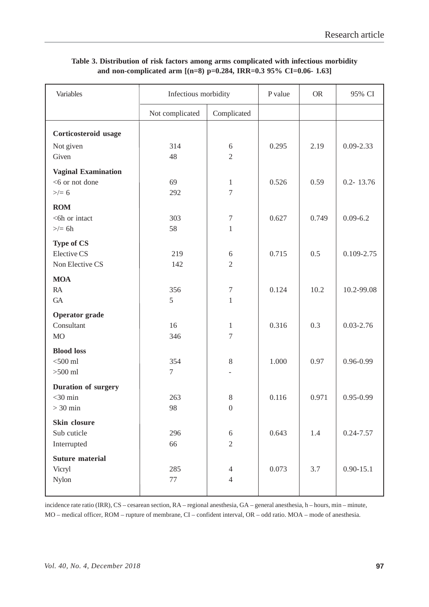| Variables                        | Infectious morbidity           |                                  | P value | <b>OR</b> | 95% CI         |
|----------------------------------|--------------------------------|----------------------------------|---------|-----------|----------------|
|                                  | Not complicated<br>Complicated |                                  |         |           |                |
| Corticosteroid usage             |                                |                                  |         |           |                |
| Not given                        | 314                            | 6                                | 0.295   | 2.19      | $0.09 - 2.33$  |
| Given                            | 48                             | $\overline{2}$                   |         |           |                |
| <b>Vaginal Examination</b>       |                                |                                  |         |           |                |
| <6 or not done                   | 69                             | $\mathbf{1}$                     | 0.526   | 0.59      | $0.2 - 13.76$  |
| $>\!/= 6$                        | 292                            | $\overline{7}$                   |         |           |                |
| <b>ROM</b>                       |                                |                                  |         |           |                |
| <6h or intact<br>$\geq$ 6h       | 303<br>58                      | $\boldsymbol{7}$<br>$\mathbf{1}$ | 0.627   | 0.749     | $0.09 - 6.2$   |
|                                  |                                |                                  |         |           |                |
| <b>Type of CS</b><br>Elective CS | 219                            | 6                                | 0.715   | 0.5       | $0.109 - 2.75$ |
| Non Elective CS                  | 142                            | $\overline{2}$                   |         |           |                |
| <b>MOA</b>                       |                                |                                  |         |           |                |
| RA                               | 356                            | $\boldsymbol{7}$                 | 0.124   | 10.2      | 10.2-99.08     |
| GA                               | 5                              | $\mathbf{1}$                     |         |           |                |
| <b>Operator</b> grade            |                                |                                  |         |           |                |
| Consultant                       | 16                             | $\mathbf{1}$                     | 0.316   | 0.3       | $0.03 - 2.76$  |
| <b>MO</b>                        | 346                            | $\tau$                           |         |           |                |
| <b>Blood loss</b>                |                                |                                  |         |           |                |
| $<$ 500 ml                       | 354                            | 8                                | 1.000   | 0.97      | $0.96 - 0.99$  |
| $>500$ ml                        | $\overline{7}$                 |                                  |         |           |                |
| <b>Duration of surgery</b>       |                                |                                  |         |           |                |
| $<$ 30 min                       | 263                            | 8                                | 0.116   | 0.971     | $0.95 - 0.99$  |
| $> 30$ min                       | 98                             | $\boldsymbol{0}$                 |         |           |                |
| Skin closure                     |                                |                                  |         |           |                |
| Sub cuticle                      | 296                            | $6\,$                            | 0.643   | 1.4       | $0.24 - 7.57$  |
| Interrupted                      | 66                             | $\sqrt{2}$                       |         |           |                |
| <b>Suture material</b>           | 285                            |                                  | 0.073   | 3.7       | $0.90 - 15.1$  |
| Vicryl<br>Nylon                  | 77                             | $\overline{4}$<br>$\overline{4}$ |         |           |                |
|                                  |                                |                                  |         |           |                |

## **Table 3. Distribution of risk factors among arms complicated with infectious morbidity and non-complicated arm [(n=8) p=0.284, IRR=0.3 95% CI=0.06- 1.63]**

incidence rate ratio (IRR), CS – cesarean section, RA – regional anesthesia, GA – general anesthesia, h – hours, min – minute, MO – medical officer, ROM – rupture of membrane, CI – confident interval, OR – odd ratio. MOA – mode of anesthesia.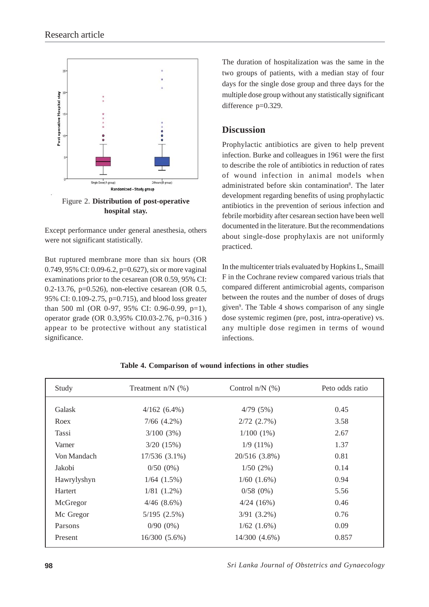

Figure 2. **Distribution of post-operative hospital stay.**

Except performance under general anesthesia, others were not significant statistically.

But ruptured membrane more than six hours (OR 0.749, 95% CI: 0.09-6.2, p=0.627), six or more vaginal examinations prior to the cesarean (OR 0.59, 95% CI: 0.2-13.76, p=0.526), non-elective cesarean (OR 0.5, 95% CI: 0.109-2.75, p=0.715), and blood loss greater than 500 ml (OR 0-97, 95% CI: 0.96-0.99, p=1), operator grade (OR 0.3,95% CI0.03-2.76, p=0.316 ) appear to be protective without any statistical significance.

The duration of hospitalization was the same in the two groups of patients, with a median stay of four days for the single dose group and three days for the multiple dose group without any statistically significant difference p=0.329.

## **Discussion**

Prophylactic antibiotics are given to help prevent infection. Burke and colleagues in 1961 were the first to describe the role of antibiotics in reduction of rates of wound infection in animal models when administrated before skin contamination<sup>8</sup>. The later development regarding benefits of using prophylactic antibiotics in the prevention of serious infection and febrile morbidity after cesarean section have been well documented in the literature. But the recommendations about single-dose prophylaxis are not uniformly practiced.

In the multicenter trials evaluated by Hopkins L, Smaill F in the Cochrane review compared various trials that compared different antimicrobial agents, comparison between the routes and the number of doses of drugs given<sup>9</sup>. The Table 4 shows comparison of any single dose systemic regimen (pre, post, intra-operative) vs. any multiple dose regimen in terms of wound infections.

| Study       | Treatment $n/N$ (%) | Control $n/N$ (%)  | Peto odds ratio |
|-------------|---------------------|--------------------|-----------------|
| Galask      | $4/162(6.4\%)$      | 4/79(5%)           | 0.45            |
| Roex        | $7/66$ $(4.2\%)$    | $2/72$ $(2.7\%)$   | 3.58            |
| Tassi       | 3/100(3%)           | $1/100(1\%)$       | 2.67            |
| Varner      | 3/20(15%)           | $1/9(11\%)$        | 1.37            |
| Von Mandach | $17/536(3.1\%)$     | $20/516$ (3.8%)    | 0.81            |
| Jakobi      | $0/50(0\%)$         | 1/50(2%)           | 0.14            |
| Hawrylyshyn | $1/64$ $(1.5\%)$    | $1/60$ $(1.6\%)$   | 0.94            |
| Hartert     | $1/81$ $(1.2\%)$    | 0/58(0%)           | 5.56            |
| McGregor    | $4/46$ $(8.6\%)$    | $4/24$ (16%)       | 0.46            |
| Mc Gregor   | 5/195(2.5%)         | $3/91$ $(3.2\%)$   | 0.76            |
| Parsons     | $0/90(0\%)$         | $1/62$ $(1.6\%)$   | 0.09            |
| Present     | $16/300(5.6\%)$     | $14/300$ $(4.6\%)$ | 0.857           |

## **Table 4. Comparison of wound infections in other studies**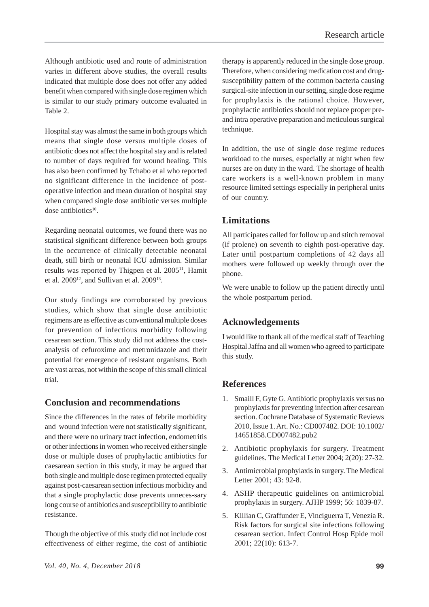Although antibiotic used and route of administration varies in different above studies, the overall results indicated that multiple dose does not offer any added benefit when compared with single dose regimen which is similar to our study primary outcome evaluated in Table 2.

Hospital stay was almost the same in both groups which means that single dose versus multiple doses of antibiotic does not affect the hospital stay and is related to number of days required for wound healing. This has also been confirmed by Tchabo et al who reported no significant difference in the incidence of postoperative infection and mean duration of hospital stay when compared single dose antibiotic verses multiple dose antibiotics10.

Regarding neonatal outcomes, we found there was no statistical significant difference between both groups in the occurrence of clinically detectable neonatal death, still birth or neonatal ICU admission. Similar results was reported by Thigpen et al. 2005<sup>11</sup>, Hamit et al. 2009<sup>12</sup>, and Sullivan et al. 2009<sup>13</sup>.

Our study findings are corroborated by previous studies, which show that single dose antibiotic regimens are as effective as conventional multiple doses for prevention of infectious morbidity following cesarean section. This study did not address the costanalysis of cefuroxime and metronidazole and their potential for emergence of resistant organisms. Both are vast areas, not within the scope of this small clinical trial.

# **Conclusion and recommendations**

Since the differences in the rates of febrile morbidity and wound infection were not statistically significant, and there were no urinary tract infection, endometritis or other infections in women who received either single dose or multiple doses of prophylactic antibiotics for caesarean section in this study, it may be argued that both single and multiple dose regimen protected equally against post-caesarean section infectious morbidity and that a single prophylactic dose prevents unneces-sary long course of antibiotics and susceptibility to antibiotic resistance.

Though the objective of this study did not include cost effectiveness of either regime, the cost of antibiotic

therapy is apparently reduced in the single dose group. Therefore, when considering medication cost and drugsusceptibility pattern of the common bacteria causing surgical-site infection in our setting, single dose regime for prophylaxis is the rational choice. However, prophylactic antibiotics should not replace proper preand intra operative preparation and meticulous surgical technique.

In addition, the use of single dose regime reduces workload to the nurses, especially at night when few nurses are on duty in the ward. The shortage of health care workers is a well-known problem in many resource limited settings especially in peripheral units of our country.

## **Limitations**

All participates called for follow up and stitch removal (if prolene) on seventh to eighth post-operative day. Later until postpartum completions of 42 days all mothers were followed up weekly through over the phone.

We were unable to follow up the patient directly until the whole postpartum period.

# **Acknowledgements**

I would like to thank all of the medical staff of Teaching Hospital Jaffna and all women who agreed to participate this study.

# **References**

- 1. Smaill F, Gyte G. Antibiotic prophylaxis versus no prophylaxis for preventing infection after cesarean section. Cochrane Database of Systematic Reviews 2010, Issue 1. Art. No.: CD007482. DOI: 10.1002/ 14651858.CD007482.pub2
- 2. Antibiotic prophylaxis for surgery. Treatment guidelines. The Medical Letter 2004; 2(20): 27-32.
- 3. Antimicrobial prophylaxis in surgery. The Medical Letter 2001; 43: 92-8.
- 4. ASHP therapeutic guidelines on antimicrobial prophylaxis in surgery. AJHP 1999; 56: 1839-87.
- 5. Killian C, Graffunder E, Vinciguerra T, Venezia R. Risk factors for surgical site infections following cesarean section. Infect Control Hosp Epide moil 2001; 22(10): 613-7.